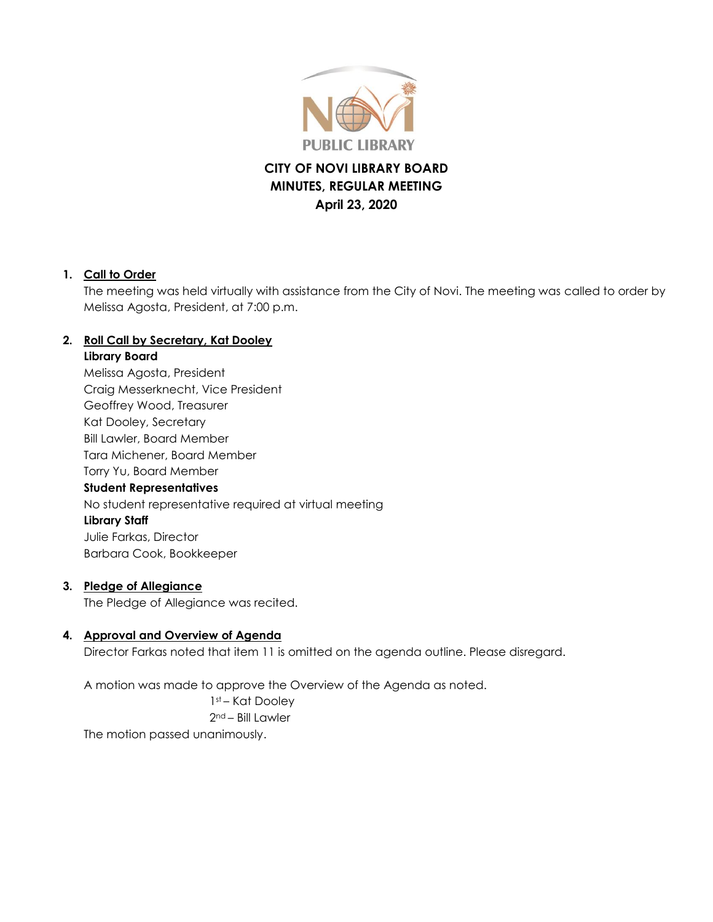

# **CITY OF NOVI LIBRARY BOARD MINUTES, REGULAR MEETING April 23, 2020**

#### **1. Call to Order**

The meeting was held virtually with assistance from the City of Novi. The meeting was called to order by Melissa Agosta, President, at 7:00 p.m.

### **2. Roll Call by Secretary, Kat Dooley**

#### **Library Board**

Melissa Agosta, President Craig Messerknecht, Vice President Geoffrey Wood, Treasurer Kat Dooley, Secretary Bill Lawler, Board Member Tara Michener, Board Member Torry Yu, Board Member **Student Representatives** No student representative required at virtual meeting **Library Staff** Julie Farkas, Director Barbara Cook, Bookkeeper

#### **3. Pledge of Allegiance**

The Pledge of Allegiance was recited.

### **4. Approval and Overview of Agenda**

Director Farkas noted that item 11 is omitted on the agenda outline. Please disregard.

A motion was made to approve the Overview of the Agenda as noted.

1st – Kat Dooley 2nd – Bill Lawler

The motion passed unanimously.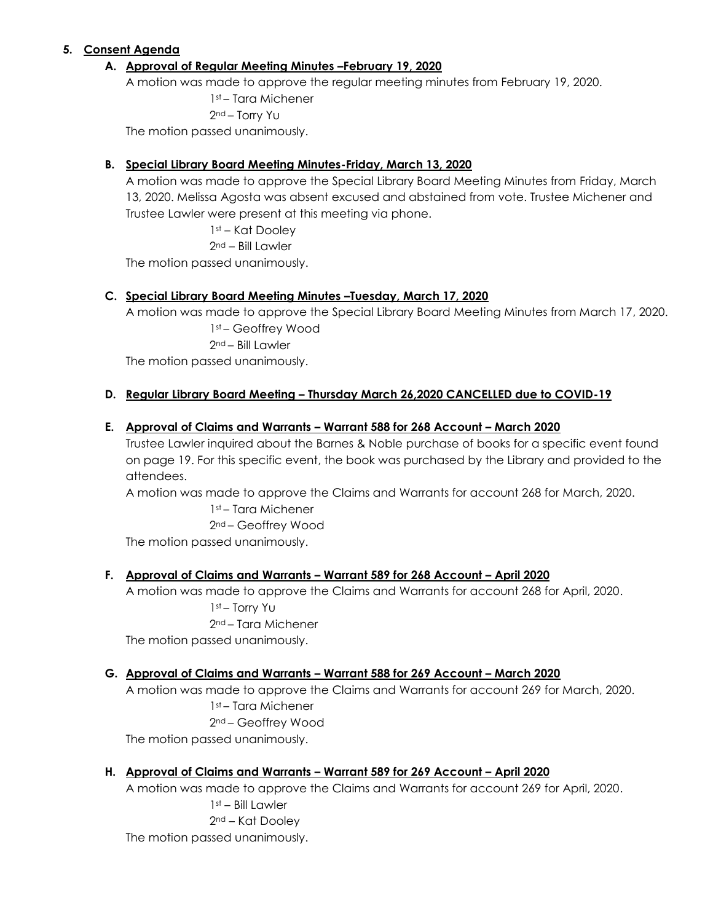#### **5. Consent Agenda**

#### **A. Approval of Regular Meeting Minutes –February 19, 2020**

A motion was made to approve the regular meeting minutes from February 19, 2020.

1st – Tara Michener

2nd – Torry Yu

The motion passed unanimously.

#### **B. Special Library Board Meeting Minutes-Friday, March 13, 2020**

A motion was made to approve the Special Library Board Meeting Minutes from Friday, March 13, 2020. Melissa Agosta was absent excused and abstained from vote. Trustee Michener and Trustee Lawler were present at this meeting via phone.

1st – Kat Dooley

2nd – Bill Lawler

The motion passed unanimously.

#### **C. Special Library Board Meeting Minutes –Tuesday, March 17, 2020**

A motion was made to approve the Special Library Board Meeting Minutes from March 17, 2020.

1st – Geoffrey Wood 2nd – Bill Lawler

The motion passed unanimously.

#### **D. Regular Library Board Meeting – Thursday March 26,2020 CANCELLED due to COVID-19**

#### **E. Approval of Claims and Warrants – Warrant 588 for 268 Account – March 2020**

Trustee Lawler inquired about the Barnes & Noble purchase of books for a specific event found on page 19. For this specific event, the book was purchased by the Library and provided to the attendees.

A motion was made to approve the Claims and Warrants for account 268 for March, 2020.

1st – Tara Michener 2nd – Geoffrey Wood

The motion passed unanimously.

#### **F. Approval of Claims and Warrants – Warrant 589 for 268 Account – April 2020**

A motion was made to approve the Claims and Warrants for account 268 for April, 2020. 1st – Torry Yu 2nd – Tara Michener

The motion passed unanimously.

#### **G. Approval of Claims and Warrants – Warrant 588 for 269 Account – March 2020**

A motion was made to approve the Claims and Warrants for account 269 for March, 2020. 1st – Tara Michener 2nd – Geoffrey Wood

The motion passed unanimously.

#### **H. Approval of Claims and Warrants – Warrant 589 for 269 Account – April 2020**

A motion was made to approve the Claims and Warrants for account 269 for April, 2020. 1st – Bill Lawler 2nd – Kat Dooley The motion passed unanimously.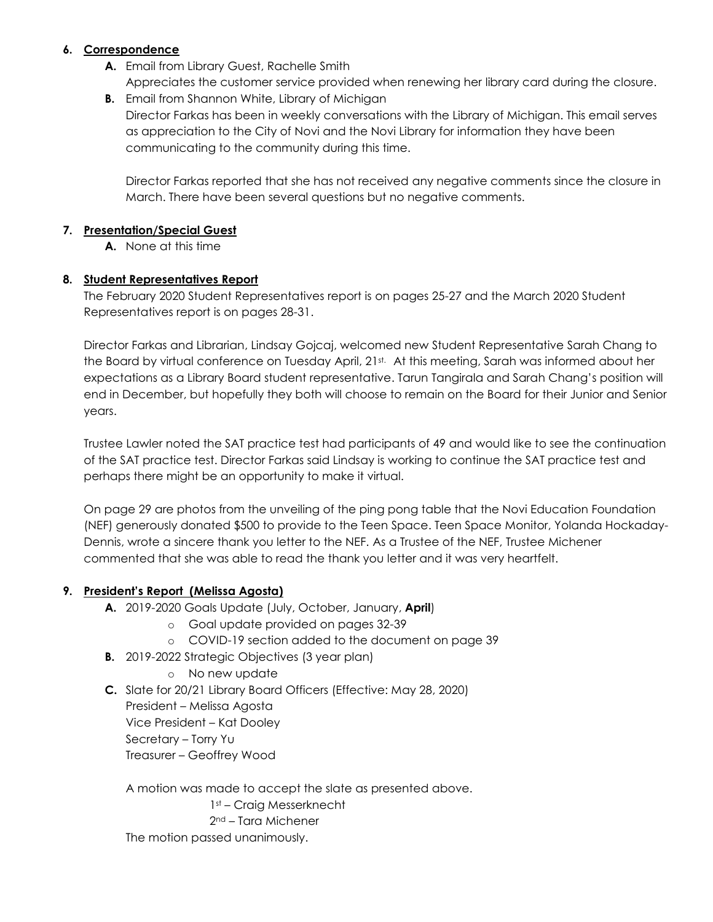#### **6. Correspondence**

- **A.** Email from Library Guest, Rachelle Smith Appreciates the customer service provided when renewing her library card during the closure.
- **B.** Email from Shannon White, Library of Michigan Director Farkas has been in weekly conversations with the Library of Michigan. This email serves as appreciation to the City of Novi and the Novi Library for information they have been communicating to the community during this time.

Director Farkas reported that she has not received any negative comments since the closure in March. There have been several questions but no negative comments.

#### **7. Presentation/Special Guest**

**A.** None at this time

#### **8. Student Representatives Report**

The February 2020 Student Representatives report is on pages 25-27 and the March 2020 Student Representatives report is on pages 28-31.

Director Farkas and Librarian, Lindsay Gojcaj, welcomed new Student Representative Sarah Chang to the Board by virtual conference on Tuesday April, 21st. At this meeting, Sarah was informed about her expectations as a Library Board student representative. Tarun Tangirala and Sarah Chang's position will end in December, but hopefully they both will choose to remain on the Board for their Junior and Senior years.

Trustee Lawler noted the SAT practice test had participants of 49 and would like to see the continuation of the SAT practice test. Director Farkas said Lindsay is working to continue the SAT practice test and perhaps there might be an opportunity to make it virtual.

On page 29 are photos from the unveiling of the ping pong table that the Novi Education Foundation (NEF) generously donated \$500 to provide to the Teen Space. Teen Space Monitor, Yolanda Hockaday-Dennis, wrote a sincere thank you letter to the NEF. As a Trustee of the NEF, Trustee Michener commented that she was able to read the thank you letter and it was very heartfelt.

#### **9. President's Report (Melissa Agosta)**

- **A.** 2019-2020 Goals Update (July, October, January, **April**)
	- o Goal update provided on pages 32-39
	- o COVID-19 section added to the document on page 39
- **B.** 2019-2022 Strategic Objectives (3 year plan)
	- o No new update
- **C.** Slate for 20/21 Library Board Officers (Effective: May 28, 2020) President – Melissa Agosta Vice President – Kat Dooley Secretary – Torry Yu Treasurer – Geoffrey Wood

A motion was made to accept the slate as presented above. 1st – Craig Messerknecht 2nd – Tara Michener The motion passed unanimously.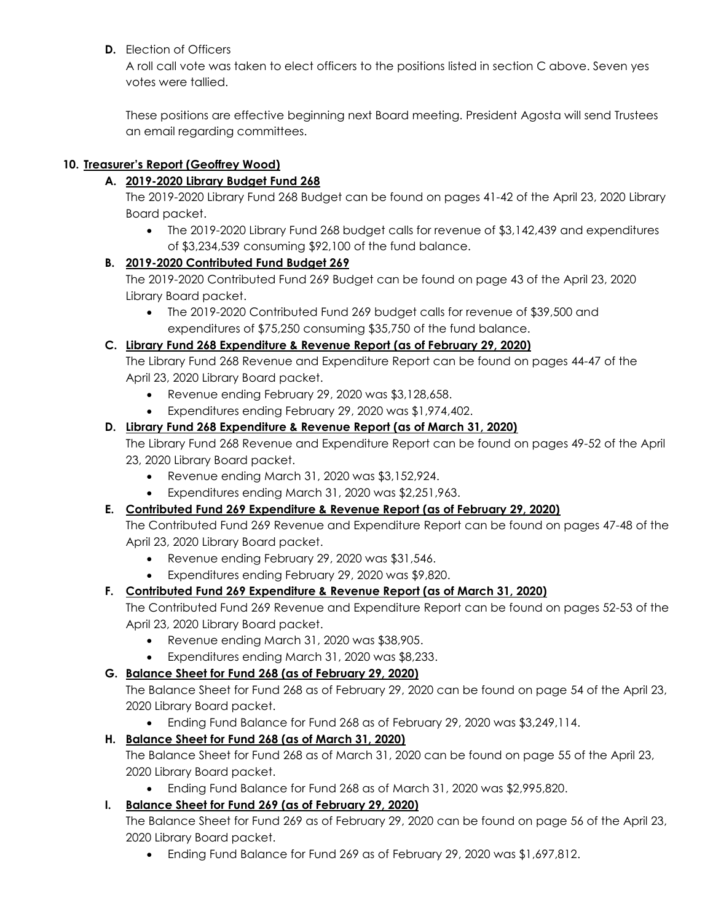### **D.** Election of Officers

A roll call vote was taken to elect officers to the positions listed in section C above. Seven yes votes were tallied.

These positions are effective beginning next Board meeting. President Agosta will send Trustees an email regarding committees.

### **10. Treasurer's Report (Geoffrey Wood)**

### **A. 2019-2020 Library Budget Fund 268**

The 2019-2020 Library Fund 268 Budget can be found on pages 41-42 of the April 23, 2020 Library Board packet.

 The 2019-2020 Library Fund 268 budget calls for revenue of \$3,142,439 and expenditures of \$3,234,539 consuming \$92,100 of the fund balance.

### **B. 2019-2020 Contributed Fund Budget 269**

The 2019-2020 Contributed Fund 269 Budget can be found on page 43 of the April 23, 2020 Library Board packet.

 The 2019-2020 Contributed Fund 269 budget calls for revenue of \$39,500 and expenditures of \$75,250 consuming \$35,750 of the fund balance.

### **C. Library Fund 268 Expenditure & Revenue Report (as of February 29, 2020)**

The Library Fund 268 Revenue and Expenditure Report can be found on pages 44-47 of the April 23, 2020 Library Board packet.

- Revenue ending February 29, 2020 was \$3,128,658.
- Expenditures ending February 29, 2020 was \$1,974,402.

### **D. Library Fund 268 Expenditure & Revenue Report (as of March 31, 2020)**

The Library Fund 268 Revenue and Expenditure Report can be found on pages 49-52 of the April 23, 2020 Library Board packet.

- Revenue ending March 31, 2020 was \$3,152,924.
- Expenditures ending March 31, 2020 was \$2,251,963.

### **E. Contributed Fund 269 Expenditure & Revenue Report (as of February 29, 2020)**

The Contributed Fund 269 Revenue and Expenditure Report can be found on pages 47-48 of the April 23, 2020 Library Board packet.

- Revenue ending February 29, 2020 was \$31,546.
- Expenditures ending February 29, 2020 was \$9,820.

### **F. Contributed Fund 269 Expenditure & Revenue Report (as of March 31, 2020)**

The Contributed Fund 269 Revenue and Expenditure Report can be found on pages 52-53 of the April 23, 2020 Library Board packet.

- Revenue ending March 31, 2020 was \$38,905.
- Expenditures ending March 31, 2020 was \$8,233.

### **G. Balance Sheet for Fund 268 (as of February 29, 2020)**

The Balance Sheet for Fund 268 as of February 29, 2020 can be found on page 54 of the April 23, 2020 Library Board packet.

Ending Fund Balance for Fund 268 as of February 29, 2020 was \$3,249,114.

### **H. Balance Sheet for Fund 268 (as of March 31, 2020)**

The Balance Sheet for Fund 268 as of March 31, 2020 can be found on page 55 of the April 23, 2020 Library Board packet.

Ending Fund Balance for Fund 268 as of March 31, 2020 was \$2,995,820.

### **I. Balance Sheet for Fund 269 (as of February 29, 2020)**

The Balance Sheet for Fund 269 as of February 29, 2020 can be found on page 56 of the April 23, 2020 Library Board packet.

Ending Fund Balance for Fund 269 as of February 29, 2020 was \$1,697,812.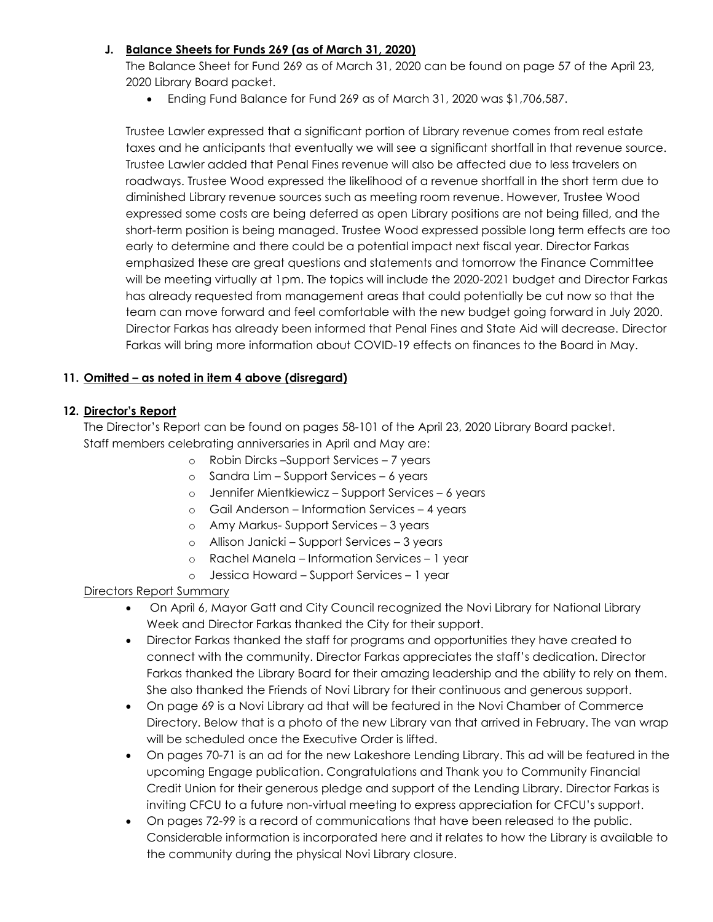#### **J. Balance Sheets for Funds 269 (as of March 31, 2020)**

The Balance Sheet for Fund 269 as of March 31, 2020 can be found on page 57 of the April 23, 2020 Library Board packet.

Ending Fund Balance for Fund 269 as of March 31, 2020 was \$1,706,587.

Trustee Lawler expressed that a significant portion of Library revenue comes from real estate taxes and he anticipants that eventually we will see a significant shortfall in that revenue source. Trustee Lawler added that Penal Fines revenue will also be affected due to less travelers on roadways. Trustee Wood expressed the likelihood of a revenue shortfall in the short term due to diminished Library revenue sources such as meeting room revenue. However, Trustee Wood expressed some costs are being deferred as open Library positions are not being filled, and the short-term position is being managed. Trustee Wood expressed possible long term effects are too early to determine and there could be a potential impact next fiscal year. Director Farkas emphasized these are great questions and statements and tomorrow the Finance Committee will be meeting virtually at 1pm. The topics will include the 2020-2021 budget and Director Farkas has already requested from management areas that could potentially be cut now so that the team can move forward and feel comfortable with the new budget going forward in July 2020. Director Farkas has already been informed that Penal Fines and State Aid will decrease. Director Farkas will bring more information about COVID-19 effects on finances to the Board in May.

### **11. Omitted – as noted in item 4 above (disregard)**

#### **12. Director's Report**

The Director's Report can be found on pages 58-101 of the April 23, 2020 Library Board packet. Staff members celebrating anniversaries in April and May are:

- o Robin Dircks –Support Services 7 years
- o Sandra Lim Support Services 6 years
- o Jennifer Mientkiewicz Support Services 6 years
- o Gail Anderson Information Services 4 years
- o Amy Markus- Support Services 3 years
- o Allison Janicki Support Services 3 years
- o Rachel Manela Information Services 1 year
- o Jessica Howard Support Services 1 year

### Directors Report Summary

- On April 6, Mayor Gatt and City Council recognized the Novi Library for National Library Week and Director Farkas thanked the City for their support.
- Director Farkas thanked the staff for programs and opportunities they have created to connect with the community. Director Farkas appreciates the staff's dedication. Director Farkas thanked the Library Board for their amazing leadership and the ability to rely on them. She also thanked the Friends of Novi Library for their continuous and generous support.
- On page 69 is a Novi Library ad that will be featured in the Novi Chamber of Commerce Directory. Below that is a photo of the new Library van that arrived in February. The van wrap will be scheduled once the Executive Order is lifted.
- On pages 70-71 is an ad for the new Lakeshore Lending Library. This ad will be featured in the upcoming Engage publication. Congratulations and Thank you to Community Financial Credit Union for their generous pledge and support of the Lending Library. Director Farkas is inviting CFCU to a future non-virtual meeting to express appreciation for CFCU's support.
- On pages 72-99 is a record of communications that have been released to the public. Considerable information is incorporated here and it relates to how the Library is available to the community during the physical Novi Library closure.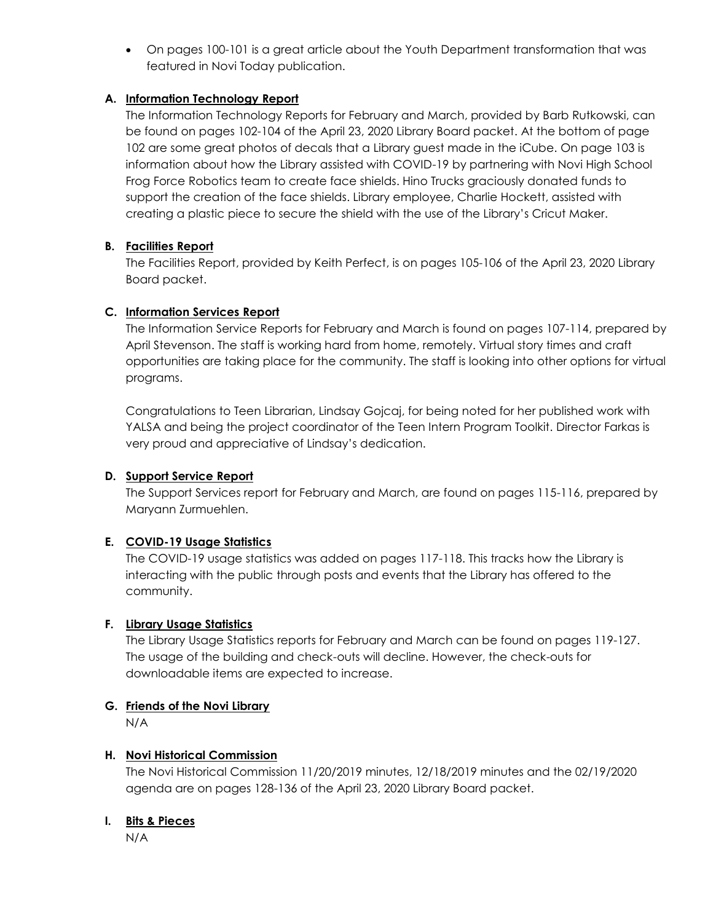On pages 100-101 is a great article about the Youth Department transformation that was featured in Novi Today publication.

### **A. Information Technology Report**

The Information Technology Reports for February and March, provided by Barb Rutkowski, can be found on pages 102-104 of the April 23, 2020 Library Board packet. At the bottom of page 102 are some great photos of decals that a Library guest made in the iCube. On page 103 is information about how the Library assisted with COVID-19 by partnering with Novi High School Frog Force Robotics team to create face shields. Hino Trucks graciously donated funds to support the creation of the face shields. Library employee, Charlie Hockett, assisted with creating a plastic piece to secure the shield with the use of the Library's Cricut Maker.

### **B. Facilities Report**

The Facilities Report, provided by Keith Perfect, is on pages 105-106 of the April 23, 2020 Library Board packet.

### **C. Information Services Report**

The Information Service Reports for February and March is found on pages 107-114, prepared by April Stevenson. The staff is working hard from home, remotely. Virtual story times and craft opportunities are taking place for the community. The staff is looking into other options for virtual programs.

Congratulations to Teen Librarian, Lindsay Gojcaj, for being noted for her published work with YALSA and being the project coordinator of the Teen Intern Program Toolkit. Director Farkas is very proud and appreciative of Lindsay's dedication.

### **D. Support Service Report**

The Support Services report for February and March, are found on pages 115-116, prepared by Maryann Zurmuehlen.

### **E. COVID-19 Usage Statistics**

The COVID-19 usage statistics was added on pages 117-118. This tracks how the Library is interacting with the public through posts and events that the Library has offered to the community.

#### **F. Library Usage Statistics**

The Library Usage Statistics reports for February and March can be found on pages 119-127. The usage of the building and check-outs will decline. However, the check-outs for downloadable items are expected to increase.

#### **G. Friends of the Novi Library**

N/A

#### **H. Novi Historical Commission**

The Novi Historical Commission 11/20/2019 minutes, 12/18/2019 minutes and the 02/19/2020 agenda are on pages 128-136 of the April 23, 2020 Library Board packet.

#### **I. Bits & Pieces**

N/A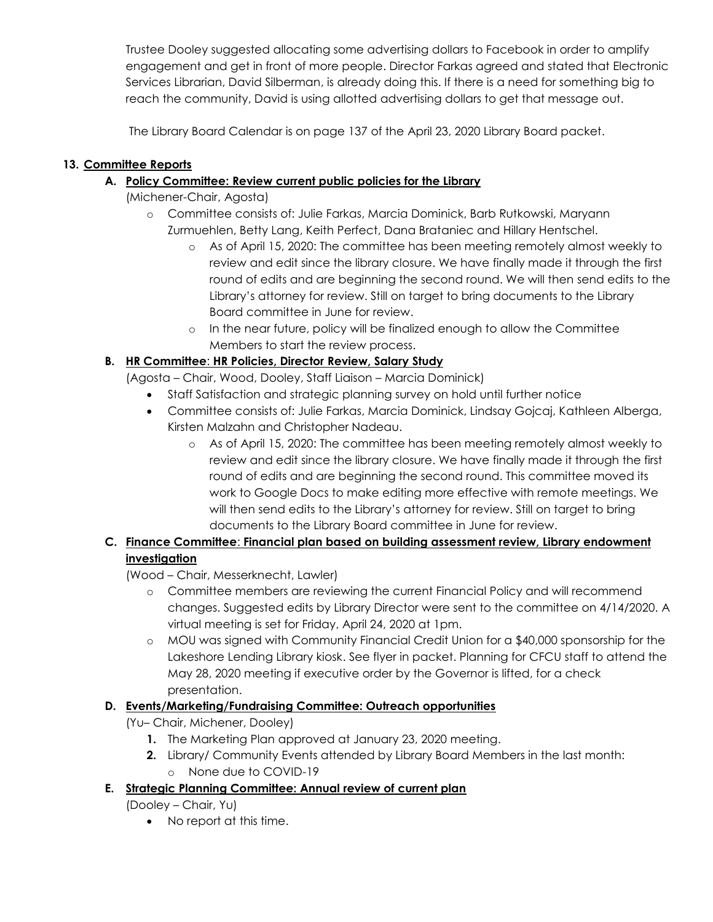Trustee Dooley suggested allocating some advertising dollars to Facebook in order to amplify engagement and get in front of more people. Director Farkas agreed and stated that Electronic Services Librarian, David Silberman, is already doing this. If there is a need for something big to reach the community, David is using allotted advertising dollars to get that message out.

The Library Board Calendar is on page 137 of the April 23, 2020 Library Board packet.

## **13. Committee Reports**

## **A. Policy Committee: Review current public policies for the Library**

- (Michener-Chair, Agosta)
	- o Committee consists of: Julie Farkas, Marcia Dominick, Barb Rutkowski, Maryann Zurmuehlen, Betty Lang, Keith Perfect, Dana Brataniec and Hillary Hentschel.
		- o As of April 15, 2020: The committee has been meeting remotely almost weekly to review and edit since the library closure. We have finally made it through the first round of edits and are beginning the second round. We will then send edits to the Library's attorney for review. Still on target to bring documents to the Library Board committee in June for review.
		- o In the near future, policy will be finalized enough to allow the Committee Members to start the review process.

## **B. HR Committee**: **HR Policies, Director Review, Salary Study**

- (Agosta Chair, Wood, Dooley, Staff Liaison Marcia Dominick)
	- Staff Satisfaction and strategic planning survey on hold until further notice
	- Committee consists of: Julie Farkas, Marcia Dominick, Lindsay Gojcaj, Kathleen Alberga, Kirsten Malzahn and Christopher Nadeau.
		- o As of April 15, 2020: The committee has been meeting remotely almost weekly to review and edit since the library closure. We have finally made it through the first round of edits and are beginning the second round. This committee moved its work to Google Docs to make editing more effective with remote meetings. We will then send edits to the Library's attorney for review. Still on target to bring documents to the Library Board committee in June for review.

## **C. Finance Committee**: **Financial plan based on building assessment review, Library endowment investigation**

(Wood – Chair, Messerknecht, Lawler)

- o Committee members are reviewing the current Financial Policy and will recommend changes. Suggested edits by Library Director were sent to the committee on 4/14/2020. A virtual meeting is set for Friday, April 24, 2020 at 1pm.
- o MOU was signed with Community Financial Credit Union for a \$40,000 sponsorship for the Lakeshore Lending Library kiosk. See flyer in packet. Planning for CFCU staff to attend the May 28, 2020 meeting if executive order by the Governor is lifted, for a check presentation.

# **D. Events/Marketing/Fundraising Committee: Outreach opportunities**

- (Yu– Chair, Michener, Dooley)
	- **1.** The Marketing Plan approved at January 23, 2020 meeting.
	- **2.** Library/ Community Events attended by Library Board Members in the last month: o None due to COVID-19
- **E. Strategic Planning Committee: Annual review of current plan**

(Dooley – Chair, Yu)

• No report at this time.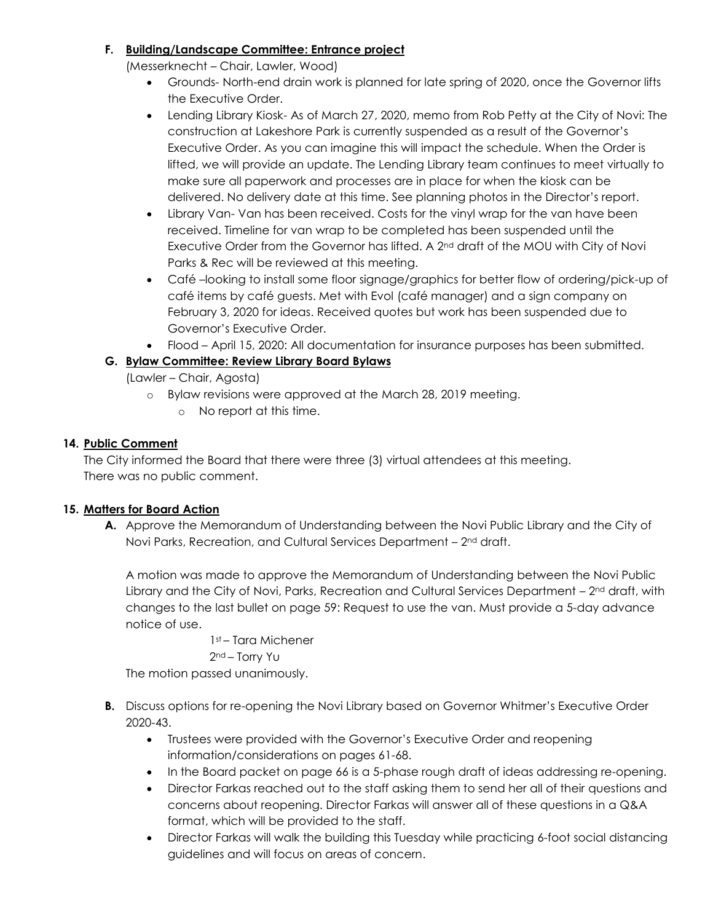### **F. Building/Landscape Committee: Entrance project**

(Messerknecht – Chair, Lawler, Wood)

- Grounds- North-end drain work is planned for late spring of 2020, once the Governor lifts the Executive Order.
- Lending Library Kiosk- As of March 27, 2020, memo from Rob Petty at the City of Novi: The construction at Lakeshore Park is currently suspended as a result of the Governor's Executive Order. As you can imagine this will impact the schedule. When the Order is lifted, we will provide an update. The Lending Library team continues to meet virtually to make sure all paperwork and processes are in place for when the kiosk can be delivered. No delivery date at this time. See planning photos in the Director's report.
- Library Van- Van has been received. Costs for the vinyl wrap for the van have been received. Timeline for van wrap to be completed has been suspended until the Executive Order from the Governor has lifted. A 2nd draft of the MOU with City of Novi Parks & Rec will be reviewed at this meeting.
- Café –looking to install some floor signage/graphics for better flow of ordering/pick-up of café items by café guests. Met with Evol (café manager) and a sign company on February 3, 2020 for ideas. Received quotes but work has been suspended due to Governor's Executive Order.
- Flood April 15, 2020: All documentation for insurance purposes has been submitted.

### **G. Bylaw Committee: Review Library Board Bylaws**

(Lawler – Chair, Agosta)

- o Bylaw revisions were approved at the March 28, 2019 meeting.
	- o No report at this time.

#### **14. Public Comment**

The City informed the Board that there were three (3) virtual attendees at this meeting. There was no public comment.

#### **15. Matters for Board Action**

**A.** Approve the Memorandum of Understanding between the Novi Public Library and the City of Novi Parks, Recreation, and Cultural Services Department - 2<sup>nd</sup> draft.

A motion was made to approve the Memorandum of Understanding between the Novi Public Library and the City of Novi, Parks, Recreation and Cultural Services Department - 2<sup>nd</sup> draft, with changes to the last bullet on page 59: Request to use the van. Must provide a 5-day advance notice of use.

1st – Tara Michener

#### 2nd – Torry Yu

The motion passed unanimously.

- **B.** Discuss options for re-opening the Novi Library based on Governor Whitmer's Executive Order 2020-43.
	- Trustees were provided with the Governor's Executive Order and reopening information/considerations on pages 61-68.
	- In the Board packet on page 66 is a 5-phase rough draft of ideas addressing re-opening.
	- Director Farkas reached out to the staff asking them to send her all of their questions and concerns about reopening. Director Farkas will answer all of these questions in a Q&A format, which will be provided to the staff.
	- Director Farkas will walk the building this Tuesday while practicing 6-foot social distancing guidelines and will focus on areas of concern.